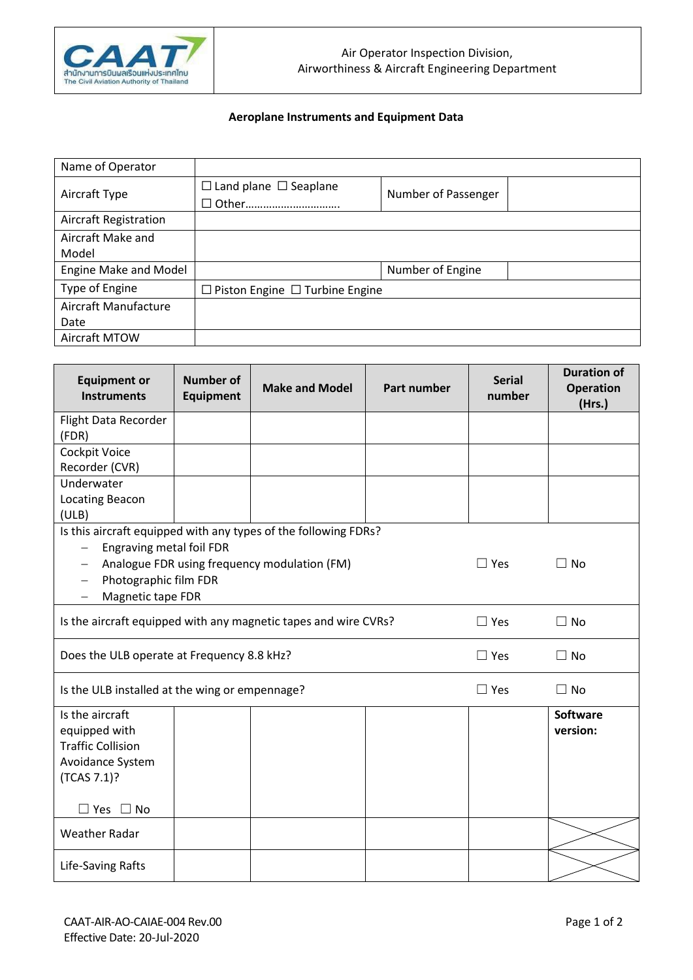

## **Aeroplane Instruments and Equipment Data**

| Name of Operator             |                                            |                     |  |  |  |
|------------------------------|--------------------------------------------|---------------------|--|--|--|
| Aircraft Type                | $\Box$ Land plane $\Box$ Seaplane          | Number of Passenger |  |  |  |
|                              | □ Other                                    |                     |  |  |  |
| <b>Aircraft Registration</b> |                                            |                     |  |  |  |
| Aircraft Make and            |                                            |                     |  |  |  |
| Model                        |                                            |                     |  |  |  |
| Engine Make and Model        |                                            | Number of Engine    |  |  |  |
| Type of Engine               | $\Box$ Piston Engine $\Box$ Turbine Engine |                     |  |  |  |
| Aircraft Manufacture         |                                            |                     |  |  |  |
| Date                         |                                            |                     |  |  |  |
| Aircraft MTOW                |                                            |                     |  |  |  |

| <b>Equipment or</b><br><b>Instruments</b>                       | <b>Number of</b><br><b>Equipment</b> | <b>Make and Model</b>                        | Part number | <b>Serial</b><br>number | <b>Duration of</b><br><b>Operation</b><br>(Hrs.) |  |  |
|-----------------------------------------------------------------|--------------------------------------|----------------------------------------------|-------------|-------------------------|--------------------------------------------------|--|--|
| Flight Data Recorder                                            |                                      |                                              |             |                         |                                                  |  |  |
| (FDR)                                                           |                                      |                                              |             |                         |                                                  |  |  |
| Cockpit Voice                                                   |                                      |                                              |             |                         |                                                  |  |  |
| Recorder (CVR)                                                  |                                      |                                              |             |                         |                                                  |  |  |
| Underwater                                                      |                                      |                                              |             |                         |                                                  |  |  |
| Locating Beacon                                                 |                                      |                                              |             |                         |                                                  |  |  |
| (ULB)                                                           |                                      |                                              |             |                         |                                                  |  |  |
| Is this aircraft equipped with any types of the following FDRs? |                                      |                                              |             |                         |                                                  |  |  |
| Engraving metal foil FDR<br>$\overline{\phantom{m}}$            |                                      |                                              |             |                         |                                                  |  |  |
|                                                                 |                                      | Analogue FDR using frequency modulation (FM) |             | $\Box$ Yes              | $\Box$ No                                        |  |  |
| Photographic film FDR<br>$\overline{\phantom{m}}$               |                                      |                                              |             |                         |                                                  |  |  |
| Magnetic tape FDR                                               |                                      |                                              |             |                         |                                                  |  |  |
| Is the aircraft equipped with any magnetic tapes and wire CVRs? | $\Box$ Yes                           | $\Box$ No                                    |             |                         |                                                  |  |  |
| Does the ULB operate at Frequency 8.8 kHz?                      | $\Box$ Yes                           | $\Box$ No                                    |             |                         |                                                  |  |  |
| Is the ULB installed at the wing or empennage?                  | $\Box$ Yes                           | $\Box$ No                                    |             |                         |                                                  |  |  |
| Is the aircraft                                                 |                                      |                                              |             |                         | <b>Software</b>                                  |  |  |
| equipped with                                                   |                                      |                                              |             |                         | version:                                         |  |  |
| <b>Traffic Collision</b>                                        |                                      |                                              |             |                         |                                                  |  |  |
| Avoidance System                                                |                                      |                                              |             |                         |                                                  |  |  |
| (TCAS 7.1)?                                                     |                                      |                                              |             |                         |                                                  |  |  |
|                                                                 |                                      |                                              |             |                         |                                                  |  |  |
| $\Box$ Yes $\Box$ No                                            |                                      |                                              |             |                         |                                                  |  |  |
| <b>Weather Radar</b>                                            |                                      |                                              |             |                         |                                                  |  |  |
| Life-Saving Rafts                                               |                                      |                                              |             |                         |                                                  |  |  |